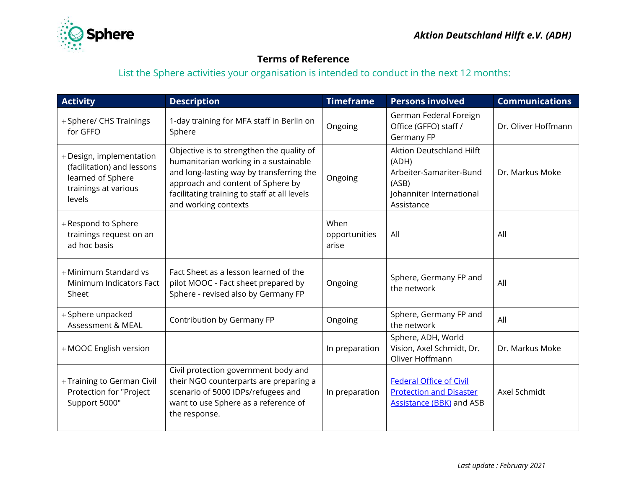

## **Terms of Reference**

List the Sphere activities your organisation is intended to conduct in the next 12 months:

| <b>Activity</b>                                                                                               | <b>Description</b>                                                                                                                                                                                                                          | <b>Timeframe</b>               | <b>Persons involved</b>                                                                                                | <b>Communications</b> |
|---------------------------------------------------------------------------------------------------------------|---------------------------------------------------------------------------------------------------------------------------------------------------------------------------------------------------------------------------------------------|--------------------------------|------------------------------------------------------------------------------------------------------------------------|-----------------------|
| + Sphere/ CHS Trainings<br>for GFFO                                                                           | 1-day training for MFA staff in Berlin on<br>Sphere                                                                                                                                                                                         | Ongoing                        | German Federal Foreign<br>Office (GFFO) staff /<br>Germany FP                                                          | Dr. Oliver Hoffmann   |
| + Design, implementation<br>(facilitation) and lessons<br>learned of Sphere<br>trainings at various<br>levels | Objective is to strengthen the quality of<br>humanitarian working in a sustainable<br>and long-lasting way by transferring the<br>approach and content of Sphere by<br>facilitating training to staff at all levels<br>and working contexts | Ongoing                        | <b>Aktion Deutschland Hilft</b><br>(ADH)<br>Arbeiter-Samariter-Bund<br>(ASB)<br>Johanniter International<br>Assistance | Dr. Markus Moke       |
| + Respond to Sphere<br>trainings request on an<br>ad hoc basis                                                |                                                                                                                                                                                                                                             | When<br>opportunities<br>arise | All                                                                                                                    | All                   |
| + Minimum Standard vs<br>Minimum Indicators Fact<br>Sheet                                                     | Fact Sheet as a lesson learned of the<br>pilot MOOC - Fact sheet prepared by<br>Sphere - revised also by Germany FP                                                                                                                         | Ongoing                        | Sphere, Germany FP and<br>the network                                                                                  | All                   |
| + Sphere unpacked<br>Assessment & MEAL                                                                        | Contribution by Germany FP                                                                                                                                                                                                                  | Ongoing                        | Sphere, Germany FP and<br>the network                                                                                  | All                   |
| + MOOC English version                                                                                        |                                                                                                                                                                                                                                             | In preparation                 | Sphere, ADH, World<br>Vision, Axel Schmidt, Dr.<br>Oliver Hoffmann                                                     | Dr. Markus Moke       |
| + Training to German Civil<br>Protection for "Project<br>Support 5000"                                        | Civil protection government body and<br>their NGO counterparts are preparing a<br>scenario of 5000 IDPs/refugees and<br>want to use Sphere as a reference of<br>the response.                                                               | In preparation                 | <b>Federal Office of Civil</b><br><b>Protection and Disaster</b><br><b>Assistance (BBK) and ASB</b>                    | Axel Schmidt          |